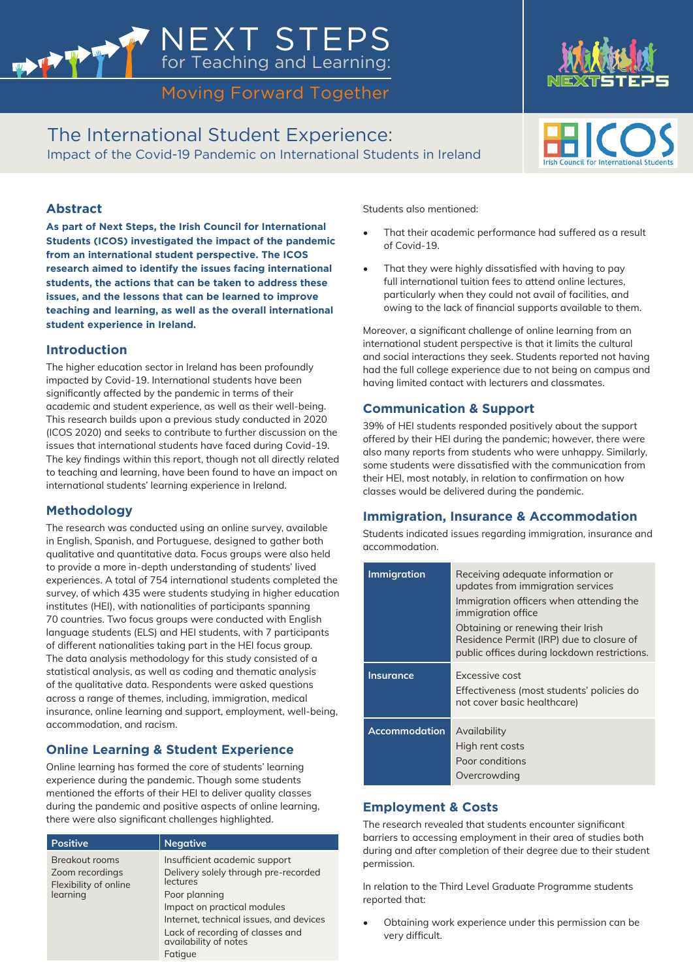# Moving Forward Together

NEXT STEPS

for Teaching and Learning:

The International Student Experience: Impact of the Covid-19 Pandemic on International Students in Ireland



**As part of Next Steps, the Irish Council for International Students (ICOS) investigated the impact of the pandemic from an international student perspective. The ICOS research aimed to identify the issues facing international students, the actions that can be taken to address these issues, and the lessons that can be learned to improve teaching and learning, as well as the overall international student experience in Ireland.** 

## **Introduction**

The higher education sector in Ireland has been profoundly impacted by Covid-19. International students have been significantly affected by the pandemic in terms of their academic and student experience, as well as their well-being. This research builds upon a previous study conducted in 2020 (ICOS 2020) and seeks to contribute to further discussion on the issues that international students have faced during Covid-19. The key findings within this report, though not all directly related to teaching and learning, have been found to have an impact on international students' learning experience in Ireland.

## **Methodology**

The research was conducted using an online survey, available in English, Spanish, and Portuguese, designed to gather both qualitative and quantitative data. Focus groups were also held to provide a more in-depth understanding of students' lived experiences. A total of 754 international students completed the survey, of which 435 were students studying in higher education institutes (HEI), with nationalities of participants spanning 70 countries. Two focus groups were conducted with English language students (ELS) and HEI students, with 7 participants of different nationalities taking part in the HEI focus group. The data analysis methodology for this study consisted of a statistical analysis, as well as coding and thematic analysis of the qualitative data. Respondents were asked questions across a range of themes, including, immigration, medical insurance, online learning and support, employment, well-being, accommodation, and racism.

# **Online Learning & Student Experience**

Online learning has formed the core of students' learning experience during the pandemic. Though some students mentioned the efforts of their HEI to deliver quality classes during the pandemic and positive aspects of online learning, there were also significant challenges highlighted.

| <b>Positive</b>                                                               | <b>Negative</b>                                           |
|-------------------------------------------------------------------------------|-----------------------------------------------------------|
| <b>Breakout rooms</b><br>Zoom recordings<br>Flexibility of online<br>learning | Insufficient academic support                             |
|                                                                               | Delivery solely through pre-recorded<br>lectures          |
|                                                                               | Poor planning                                             |
|                                                                               | Impact on practical modules                               |
|                                                                               | Internet, technical issues, and devices                   |
|                                                                               | Lack of recording of classes and<br>availability of notes |
|                                                                               | Fatique                                                   |

Students also mentioned:

- That their academic performance had suffered as a result of Covid-19.
- That they were highly dissatisfied with having to pay full international tuition fees to attend online lectures, particularly when they could not avail of facilities, and owing to the lack of financial supports available to them.

Moreover, a significant challenge of online learning from an international student perspective is that it limits the cultural and social interactions they seek. Students reported not having had the full college experience due to not being on campus and having limited contact with lecturers and classmates.

## **Communication & Support**

39% of HEI students responded positively about the support offered by their HEI during the pandemic; however, there were also many reports from students who were unhappy. Similarly, some students were dissatisfied with the communication from their HEI, most notably, in relation to confirmation on how classes would be delivered during the pandemic.

#### **Immigration, Insurance & Accommodation**

Students indicated issues regarding immigration, insurance and accommodation.

| <b>Immigration</b>   | Receiving adequate information or<br>updates from immigration services<br>Immigration officers when attending the<br>immigration office<br>Obtaining or renewing their Irish<br>Residence Permit (IRP) due to closure of<br>public offices during lockdown restrictions. |
|----------------------|--------------------------------------------------------------------------------------------------------------------------------------------------------------------------------------------------------------------------------------------------------------------------|
| <b>Insurance</b>     | Excessive cost<br>Effectiveness (most students' policies do<br>not cover basic healthcare)                                                                                                                                                                               |
| <b>Accommodation</b> | Availability<br>High rent costs<br>Poor conditions<br>Overcrowding                                                                                                                                                                                                       |

## **Employment & Costs**

The research revealed that students encounter significant barriers to accessing employment in their area of studies both during and after completion of their degree due to their student permission.

In relation to the Third Level Graduate Programme students reported that:

• Obtaining work experience under this permission can be very difficult.



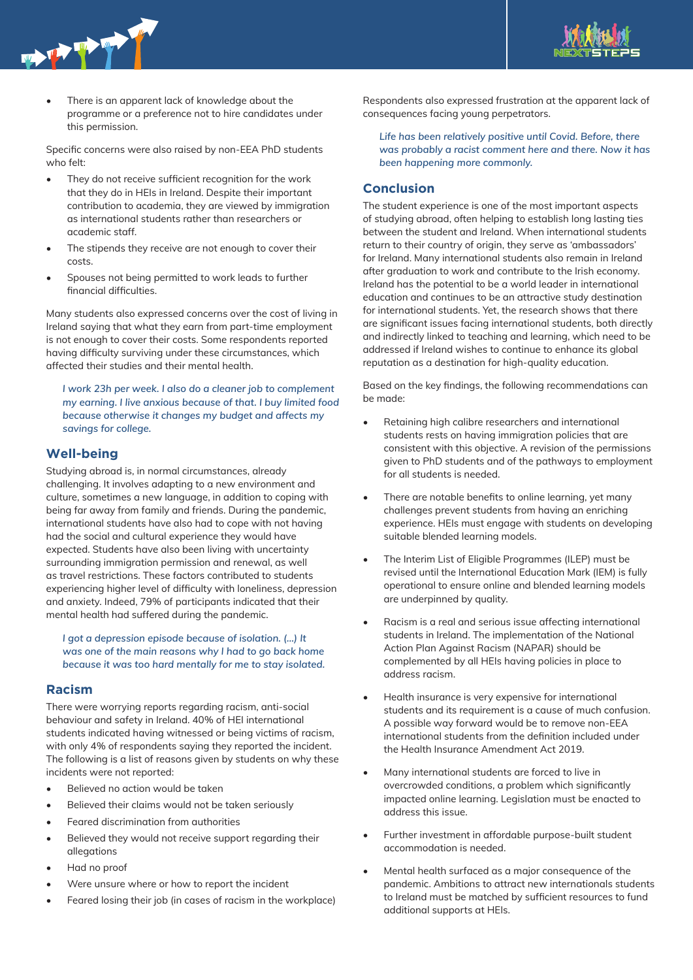



There is an apparent lack of knowledge about the programme or a preference not to hire candidates under this permission.

Specific concerns were also raised by non-EEA PhD students who felt:

- They do not receive sufficient recognition for the work that they do in HEIs in Ireland. Despite their important contribution to academia, they are viewed by immigration as international students rather than researchers or academic staff.
- The stipends they receive are not enough to cover their costs.
- Spouses not being permitted to work leads to further financial difficulties.

Many students also expressed concerns over the cost of living in Ireland saying that what they earn from part-time employment is not enough to cover their costs. Some respondents reported having difficulty surviving under these circumstances, which affected their studies and their mental health.

*I work 23h per week. I also do a cleaner job to complement my earning. I live anxious because of that. I buy limited food because otherwise it changes my budget and affects my savings for college.*

#### **Well-being**

Studying abroad is, in normal circumstances, already challenging. It involves adapting to a new environment and culture, sometimes a new language, in addition to coping with being far away from family and friends. During the pandemic, international students have also had to cope with not having had the social and cultural experience they would have expected. Students have also been living with uncertainty surrounding immigration permission and renewal, as well as travel restrictions. These factors contributed to students experiencing higher level of difficulty with loneliness, depression and anxiety. Indeed, 79% of participants indicated that their mental health had suffered during the pandemic.

*I got a depression episode because of isolation. (...) It was one of the main reasons why I had to go back home because it was too hard mentally for me to stay isolated.* 

#### **Racism**

There were worrying reports regarding racism, anti-social behaviour and safety in Ireland. 40% of HEI international students indicated having witnessed or being victims of racism, with only 4% of respondents saying they reported the incident. The following is a list of reasons given by students on why these incidents were not reported:

- Believed no action would be taken
- Believed their claims would not be taken seriously
- Feared discrimination from authorities
- Believed they would not receive support regarding their allegations
- Had no proof
- Were unsure where or how to report the incident
- Feared losing their job (in cases of racism in the workplace)

Respondents also expressed frustration at the apparent lack of consequences facing young perpetrators.

*Life has been relatively positive until Covid. Before, there was probably a racist comment here and there. Now it has been happening more commonly.* 

#### **Conclusion**

The student experience is one of the most important aspects of studying abroad, often helping to establish long lasting ties between the student and Ireland. When international students return to their country of origin, they serve as 'ambassadors' for Ireland. Many international students also remain in Ireland after graduation to work and contribute to the Irish economy. Ireland has the potential to be a world leader in international education and continues to be an attractive study destination for international students. Yet, the research shows that there are significant issues facing international students, both directly and indirectly linked to teaching and learning, which need to be addressed if Ireland wishes to continue to enhance its global reputation as a destination for high-quality education.

Based on the key findings, the following recommendations can be made:

- Retaining high calibre researchers and international students rests on having immigration policies that are consistent with this objective. A revision of the permissions given to PhD students and of the pathways to employment for all students is needed.
- There are notable benefits to online learning, yet many challenges prevent students from having an enriching experience. HEIs must engage with students on developing suitable blended learning models.
- The Interim List of Eligible Programmes (ILEP) must be revised until the International Education Mark (IEM) is fully operational to ensure online and blended learning models are underpinned by quality.
- Racism is a real and serious issue affecting international students in Ireland. The implementation of the National Action Plan Against Racism (NAPAR) should be complemented by all HEIs having policies in place to address racism.
- Health insurance is very expensive for international students and its requirement is a cause of much confusion. A possible way forward would be to remove non-EEA international students from the definition included under the Health Insurance Amendment Act 2019.
- Many international students are forced to live in overcrowded conditions, a problem which significantly impacted online learning. Legislation must be enacted to address this issue.
- Further investment in affordable purpose-built student accommodation is needed.
- Mental health surfaced as a major consequence of the pandemic. Ambitions to attract new internationals students to Ireland must be matched by sufficient resources to fund additional supports at HEIs.